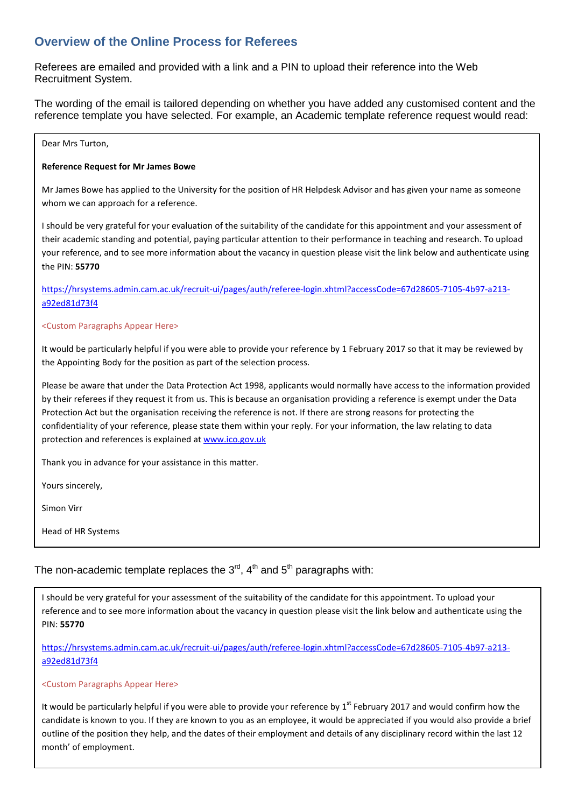## **Overview of the Online Process for Referees**

Referees are emailed and provided with a link and a PIN to upload their reference into the Web Recruitment System.

The wording of the email is tailored depending on whether you have added any customised content and the reference template you have selected. For example, an Academic template reference request would read:

### Dear Mrs Turton,

### **Reference Request for Mr James Bowe**

Mr James Bowe has applied to the University for the position of HR Helpdesk Advisor and has given your name as someone whom we can approach for a reference.

I should be very grateful for your evaluation of the suitability of the candidate for this appointment and your assessment of their academic standing and potential, paying particular attention to their performance in teaching and research. To upload your reference, and to see more information about the vacancy in question please visit the link below and authenticate using the PIN: **55770**

[https://hrsystems.admin.cam.ac.uk/recruit-ui/pages/auth/referee-login.xhtml?accessCode=67d28605-7105-4b97-a213](https://hrsystems.admin.cam.ac.uk/recruit-ui/pages/auth/referee-login.xhtml?accessCode=67d28605-7105-4b97-a213-a92ed81d73f4) [a92ed81d73f4](https://hrsystems.admin.cam.ac.uk/recruit-ui/pages/auth/referee-login.xhtml?accessCode=67d28605-7105-4b97-a213-a92ed81d73f4) 

### <Custom Paragraphs Appear Here>

It would be particularly helpful if you were able to provide your reference by 1 February 2017 so that it may be reviewed by the Appointing Body for the position as part of the selection process.

Please be aware that under the Data Protection Act 1998, applicants would normally have access to the information provided by their referees if they request it from us. This is because an organisation providing a reference is exempt under the Data Protection Act but the organisation receiving the reference is not. If there are strong reasons for protecting the confidentiality of your reference, please state them within your reply. For your information, the law relating to data protection and references is explained at [www.ico.gov.uk](http://www.ico.gov.uk/)

Thank you in advance for your assistance in this matter.

Yours sincerely,

Simon Virr

Head of HR Systems

# The non-academic template replaces the  $3<sup>rd</sup>$ ,  $4<sup>th</sup>$  and  $5<sup>th</sup>$  paragraphs with:

I should be very grateful for your assessment of the suitability of the candidate for this appointment. To upload your reference and to see more information about the vacancy in question please visit the link below and authenticate using the PIN: **55770**

[https://hrsystems.admin.cam.ac.uk/recruit-ui/pages/auth/referee-login.xhtml?accessCode=67d28605-7105-4b97-a213](https://hrsystems.admin.cam.ac.uk/recruit-ui/pages/auth/referee-login.xhtml?accessCode=67d28605-7105-4b97-a213-a92ed81d73f4) [a92ed81d73f4](https://hrsystems.admin.cam.ac.uk/recruit-ui/pages/auth/referee-login.xhtml?accessCode=67d28605-7105-4b97-a213-a92ed81d73f4) 

### <Custom Paragraphs Appear Here>

It would be particularly helpful if you were able to provide your reference by  $1^{st}$  February 2017 and would confirm how the candidate is known to you. If they are known to you as an employee, it would be appreciated if you would also provide a brief outline of the position they help, and the dates of their employment and details of any disciplinary record within the last 12 month' of employment.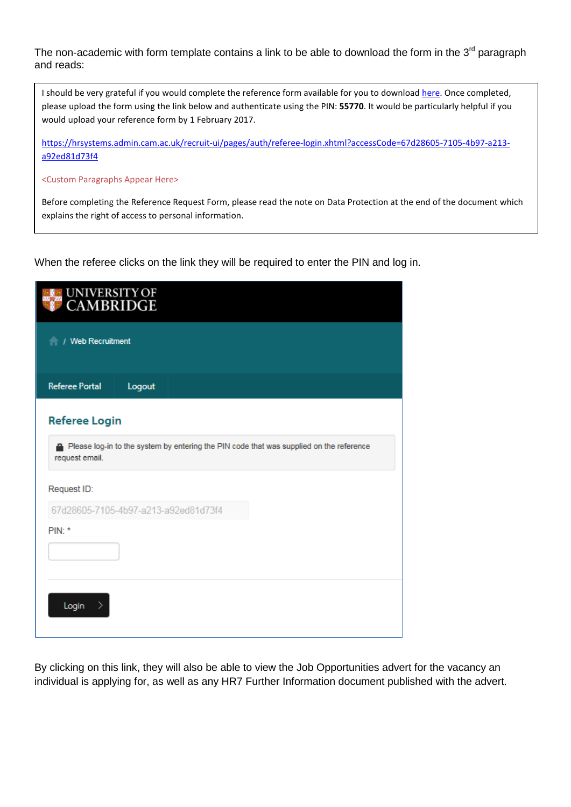The non-academic with form template contains a link to be able to download the form in the  $3<sup>rd</sup>$  paragraph and reads:

I should be very grateful if you would complete the reference form available for you to download [here.](http://www.jobs.cam.ac.uk/applying/reference-request-form.doc) Once completed, please upload the form using the link below and authenticate using the PIN: **55770**. It would be particularly helpful if you would upload your reference form by 1 February 2017.

[https://hrsystems.admin.cam.ac.uk/recruit-ui/pages/auth/referee-login.xhtml?accessCode=67d28605-7105-4b97-a213](https://hrsystems.admin.cam.ac.uk/recruit-ui/pages/auth/referee-login.xhtml?accessCode=67d28605-7105-4b97-a213-a92ed81d73f4) [a92ed81d73f4](https://hrsystems.admin.cam.ac.uk/recruit-ui/pages/auth/referee-login.xhtml?accessCode=67d28605-7105-4b97-a213-a92ed81d73f4) 

<Custom Paragraphs Appear Here>

Before completing the Reference Request Form, please read the note on Data Protection at the end of the document which explains the right of access to personal information.

When the referee clicks on the link they will be required to enter the PIN and log in.

| <b>UNIVERSITY OF</b><br><b>CAMBRIDGE</b> |        |  |                                                                                         |  |  |
|------------------------------------------|--------|--|-----------------------------------------------------------------------------------------|--|--|
| / Web Recruitment                        |        |  |                                                                                         |  |  |
| <b>Referee Portal</b>                    | Logout |  |                                                                                         |  |  |
| <b>Referee Login</b>                     |        |  |                                                                                         |  |  |
| request email.                           |        |  | Please log-in to the system by entering the PIN code that was supplied on the reference |  |  |
| Request ID:                              |        |  |                                                                                         |  |  |
| 67d28605-7105-4b97-a213-a92ed81d73f4     |        |  |                                                                                         |  |  |
| $PIN:$ *                                 |        |  |                                                                                         |  |  |
|                                          |        |  |                                                                                         |  |  |
| Login<br>⋗                               |        |  |                                                                                         |  |  |

By clicking on this link, they will also be able to view the Job Opportunities advert for the vacancy an individual is applying for, as well as any HR7 Further Information document published with the advert.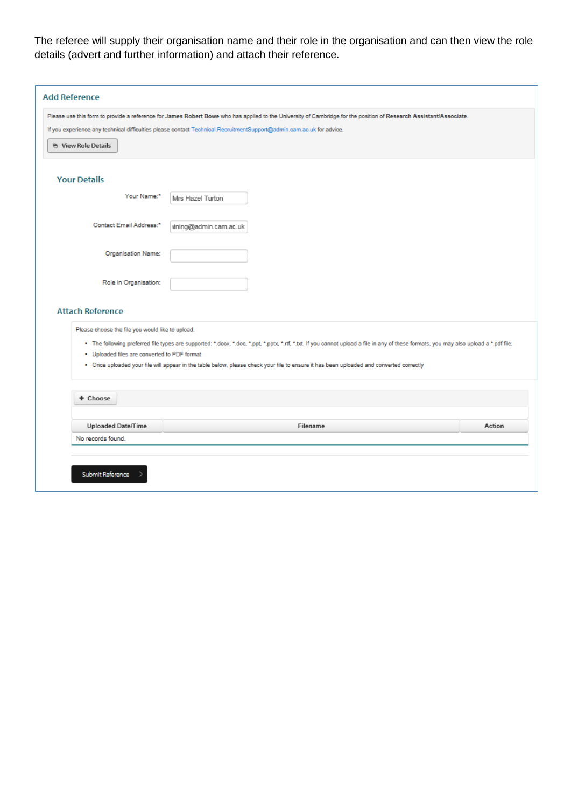The referee will supply their organisation name and their role in the organisation and can then view the role details (advert and further information) and attach their reference.

| <b>Your Details</b><br>Your Name:*<br>Mrs Hazel Turton<br>Contact Email Address:*<br>tining@admin.cam.ac.uk<br>Organisation Name:<br>Role in Organisation:<br><b>Attach Reference</b><br>Please choose the file you would like to upload.<br>. The following preferred file types are supported: *.docx, *.doc, *.ppt, *.pptx, *.rtf, *.txt. If you cannot upload a file in any of these formats, you may also upload a *.pdf file; |
|-------------------------------------------------------------------------------------------------------------------------------------------------------------------------------------------------------------------------------------------------------------------------------------------------------------------------------------------------------------------------------------------------------------------------------------|
|                                                                                                                                                                                                                                                                                                                                                                                                                                     |
|                                                                                                                                                                                                                                                                                                                                                                                                                                     |
|                                                                                                                                                                                                                                                                                                                                                                                                                                     |
|                                                                                                                                                                                                                                                                                                                                                                                                                                     |
|                                                                                                                                                                                                                                                                                                                                                                                                                                     |
|                                                                                                                                                                                                                                                                                                                                                                                                                                     |
| . Uploaded files are converted to PDF format<br>. Once uploaded your file will appear in the table below, please check your file to ensure it has been uploaded and converted correctly                                                                                                                                                                                                                                             |
| + Choose                                                                                                                                                                                                                                                                                                                                                                                                                            |
| <b>Uploaded Date/Time</b><br>Action<br>Filename                                                                                                                                                                                                                                                                                                                                                                                     |
| No records found.                                                                                                                                                                                                                                                                                                                                                                                                                   |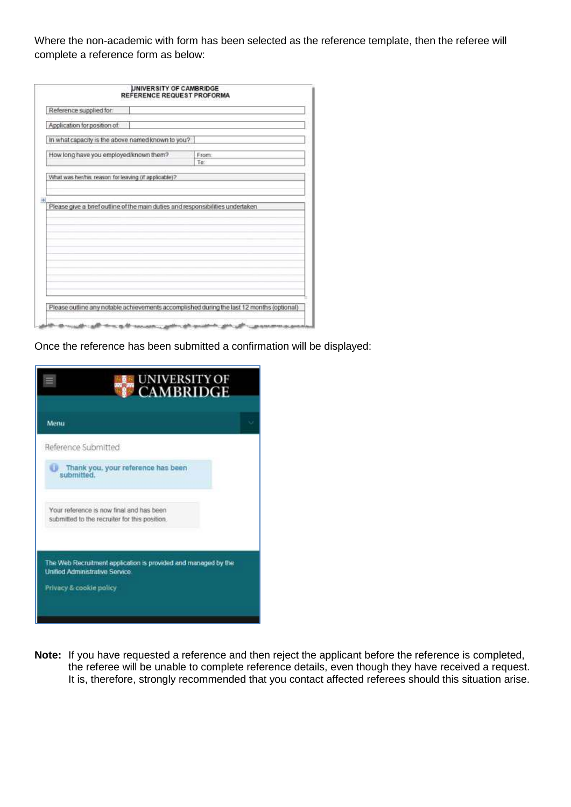Where the non-academic with form has been selected as the reference template, then the referee will complete a reference form as below:

| Reference supplied for:                              |                                                                                |
|------------------------------------------------------|--------------------------------------------------------------------------------|
| Application for position of:                         |                                                                                |
| In what capacity is the above named known to you?    |                                                                                |
| How long have you employed/known them?               | From:<br>To:                                                                   |
| What was her/his reason for leaving (if applicable)? |                                                                                |
|                                                      |                                                                                |
|                                                      |                                                                                |
|                                                      | Please give a brief outline of the main duties and responsibilities undertaken |
|                                                      |                                                                                |
|                                                      |                                                                                |
|                                                      |                                                                                |
|                                                      |                                                                                |
|                                                      |                                                                                |
|                                                      |                                                                                |
|                                                      |                                                                                |
|                                                      |                                                                                |

Once the reference has been submitted a confirmation will be displayed:

| <b>CAMBRIDGE</b> |                                                                                                                                                                                                                                                                                              |
|------------------|----------------------------------------------------------------------------------------------------------------------------------------------------------------------------------------------------------------------------------------------------------------------------------------------|
|                  |                                                                                                                                                                                                                                                                                              |
|                  |                                                                                                                                                                                                                                                                                              |
|                  |                                                                                                                                                                                                                                                                                              |
|                  |                                                                                                                                                                                                                                                                                              |
|                  |                                                                                                                                                                                                                                                                                              |
|                  |                                                                                                                                                                                                                                                                                              |
|                  | Reference Submitted<br>Thank you, your reference has been<br>Your reference is now final and has been<br>submitted to the recruiter for this position.<br>The Web Recruitment application is provided and managed by the<br><b>Unified Administrative Service</b><br>Privacy & cookie policy |

**Note:** If you have requested a reference and then reject the applicant before the reference is completed, the referee will be unable to complete reference details, even though they have received a request. It is, therefore, strongly recommended that you contact affected referees should this situation arise.